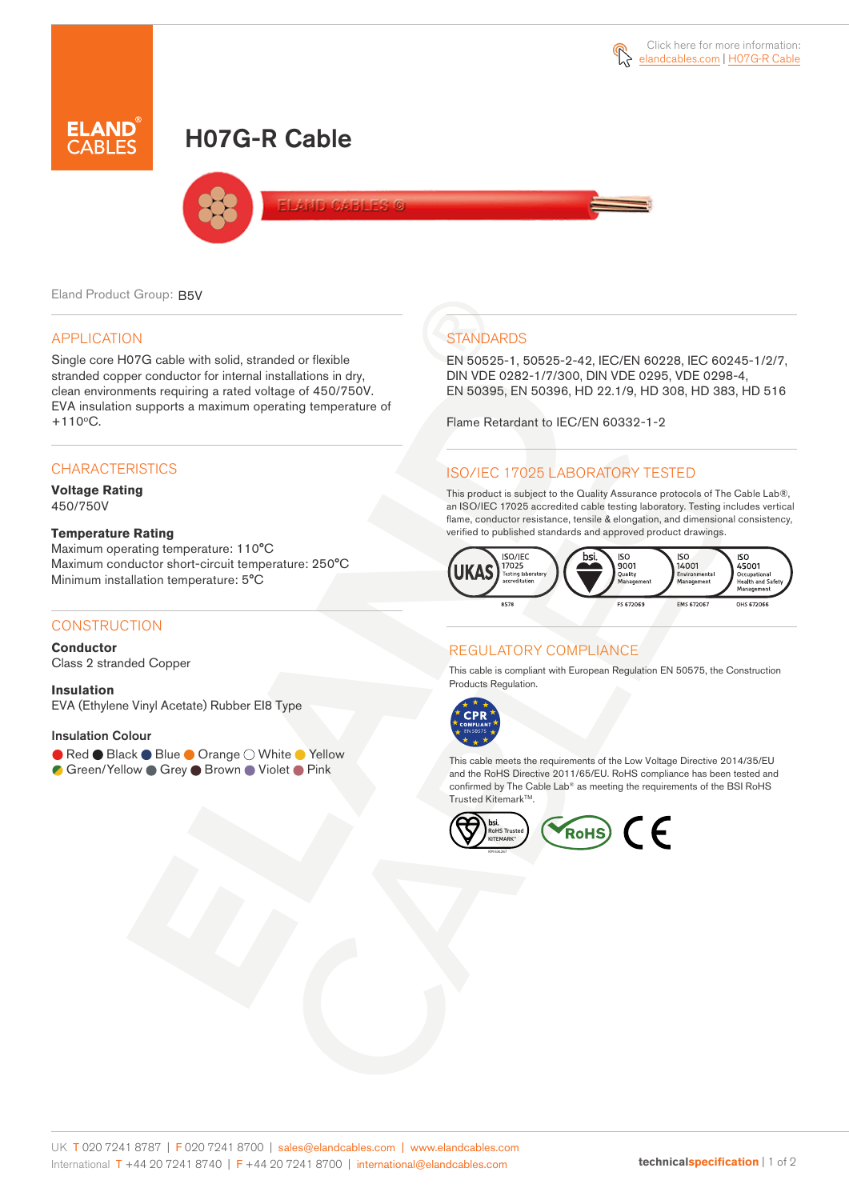# H07G-R Cable



**AND CARLES G** 

Eland Product Group: B5V

#### APPLICATION

Single core H07G cable with solid, stranded or flexible stranded copper conductor for internal installations in dry, clean environments requiring a rated voltage of 450/750V. EVA insulation supports a maximum operating temperature of  $+110$ °C.

#### **CHARACTERISTICS**

**Voltage Rating** 450/750V

#### **Temperature Rating**

Maximum operating temperature: 110°C Maximum conductor short-circuit temperature: 250°C Minimum installation temperature: 5°C

#### **CONSTRUCTION**

**Conductor**

Class 2 stranded Copper

**Insulation** EVA (Ethylene Vinyl Acetate) Rubber EI8 Type

#### Insulation Colour

● Red ● Black ● Blue ● Orange ○ White ● Yellow C Green/Yellow ● Grey ● Brown ● Violet ● Pink

## **STANDARDS**

EN 50525-1, 50525-2-42, IEC/EN 60228, IEC 60245-1/2/7, DIN VDE 0282-1/7/300, DIN VDE 0295, VDE 0298-4, EN 50395, EN 50396, HD 22.1/9, HD 308, HD 383, HD 516

Flame Retardant to IEC/EN 60332-1-2

# ISO/IEC 17025 LABORATORY TESTED

This product is subject to the Quality Assurance protocols of The Cable Lab®, an ISO/IEC 17025 accredited cable testing laboratory. Testing includes vertical flame, conductor resistance, tensile & elongation, and dimensional consistency, verified to published standards and approved product drawings.



### REGULATORY COMPLIANCE

This cable is compliant with European Regulation EN 50575, the Construction Products Regulation.



This cable meets the requirements of the Low Voltage Directive 2014/35/EU and the RoHS Directive 2011/65/EU. RoHS compliance has been tested and confirmed by The Cable Lab® as meeting the requirements of the BSI RoHS Trusted Kitemark™.